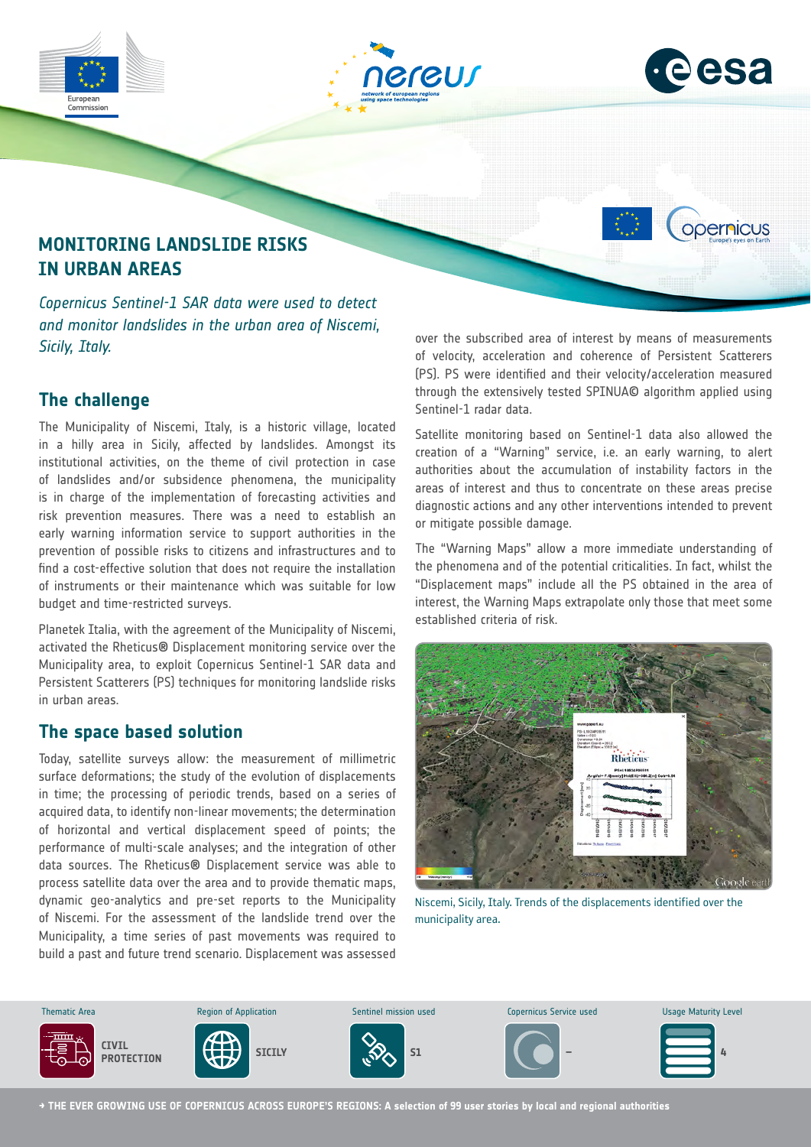

### **The challenge**

The Municipality of Niscemi, Italy, is a historic village, located in a hilly area in Sicily, affected by landslides. Amongst its institutional activities, on the theme of civil protection in case of landslides and/or subsidence phenomena, the municipality is in charge of the implementation of forecasting activities and risk prevention measures. There was a need to establish an early warning information service to support authorities in the prevention of possible risks to citizens and infrastructures and to find a cost-effective solution that does not require the installation of instruments or their maintenance which was suitable for low budget and time-restricted surveys.

Planetek Italia, with the agreement of the Municipality of Niscemi, activated the Rheticus® Displacement monitoring service over the Municipality area, to exploit Copernicus Sentinel-1 SAR data and Persistent Scatterers (PS) techniques for monitoring landslide risks in urban areas.

#### **The space based solution**

Today, satellite surveys allow: the measurement of millimetric surface deformations; the study of the evolution of displacements in time; the processing of periodic trends, based on a series of acquired data, to identify non-linear movements; the determination of horizontal and vertical displacement speed of points; the performance of multi-scale analyses; and the integration of other data sources. The Rheticus® Displacement service was able to process satellite data over the area and to provide thematic maps, dynamic geo-analytics and pre-set reports to the Municipality of Niscemi. For the assessment of the landslide trend over the Municipality, a time series of past movements was required to build a past and future trend scenario. Displacement was assessed

through the extensively tested SPINUA© algorithm applied using Sentinel-1 radar data.

Satellite monitoring based on Sentinel-1 data also allowed the creation of a "Warning" service, i.e. an early warning, to alert authorities about the accumulation of instability factors in the areas of interest and thus to concentrate on these areas precise diagnostic actions and any other interventions intended to prevent or mitigate possible damage.

The "Warning Maps" allow a more immediate understanding of the phenomena and of the potential criticalities. In fact, whilst the "Displacement maps" include all the PS obtained in the area of interest, the Warning Maps extrapolate only those that meet some established criteria of risk.



Niscemi, Sicily, Italy. Trends of the displacements identified over the municipality area.



**→ THE EVER GROWING USE OF COPERNICUS ACROSS EUROPE'S REGIONS: A selection of 99 user stories by local and regional authorities**